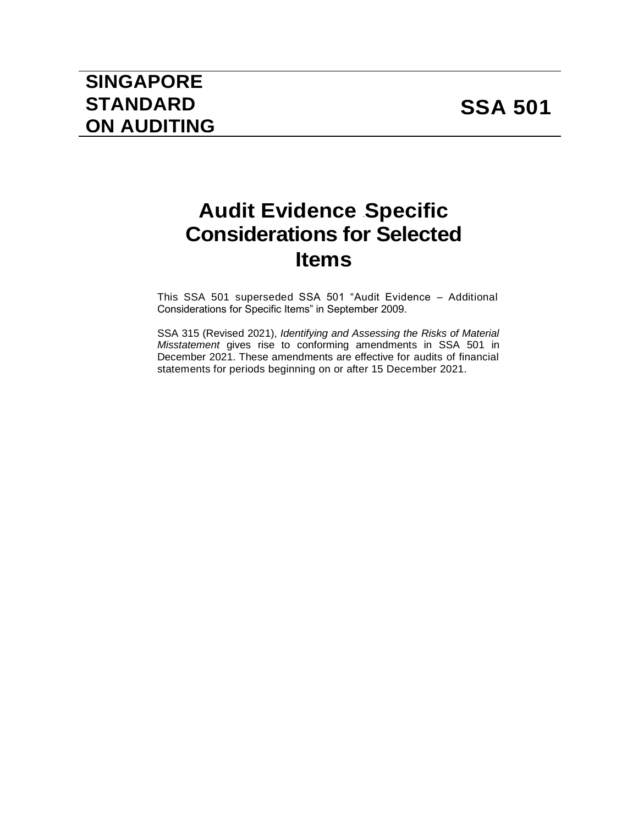# **Audit Evidence –Specific Considerations for Selected Items**

This SSA 501 superseded SSA 501 "Audit Evidence – Additional Considerations for Specific Items" in September 2009.

SSA 315 (Revised 2021), *Identifying and Assessing the Risks of Material Misstatement* gives rise to conforming amendments in SSA 501 in December 2021. These amendments are effective for audits of financial statements for periods beginning on or after 15 December 2021.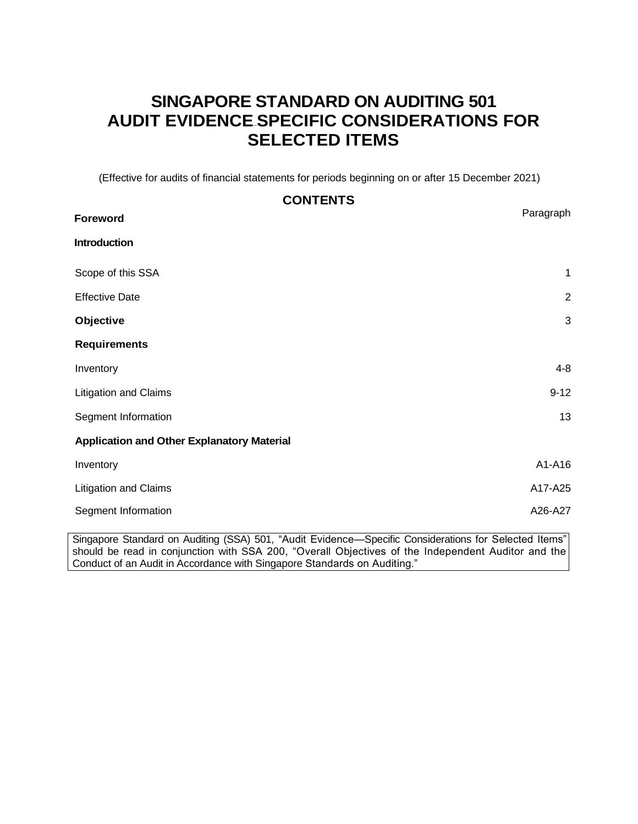## **SINGAPORE STANDARD ON AUDITING 501 AUDIT EVIDENCE SPECIFIC CONSIDERATIONS FOR SELECTED ITEMS**

(Effective for audits of financial statements for periods beginning on or after 15 December 2021)

#### **CONTENTS**

| <b>Foreword</b>                                   | Paragraph      |
|---------------------------------------------------|----------------|
| <b>Introduction</b>                               |                |
| Scope of this SSA                                 | $\mathbf{1}$   |
| <b>Effective Date</b>                             | $\overline{2}$ |
| Objective                                         | 3              |
| <b>Requirements</b>                               |                |
| Inventory                                         | $4 - 8$        |
| <b>Litigation and Claims</b>                      | $9 - 12$       |
| Segment Information                               | 13             |
| <b>Application and Other Explanatory Material</b> |                |
| Inventory                                         | A1-A16         |
| <b>Litigation and Claims</b>                      | A17-A25        |
| Segment Information                               | A26-A27        |
|                                                   |                |

Singapore Standard on Auditing (SSA) 501, "Audit Evidence—Specific Considerations for Selected Items" should be read in conjunction with SSA 200, "Overall Objectives of the Independent Auditor and the Conduct of an Audit in Accordance with Singapore Standards on Auditing."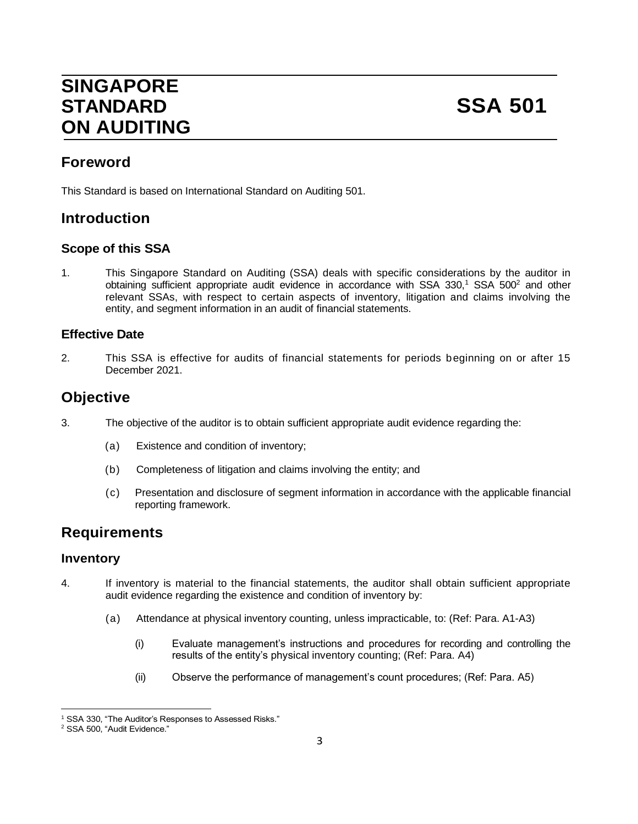## **SINGAPORE STANDARD SSA 501 ON AUDITING**

## **Foreword**

This Standard is based on International Standard on Auditing 501.

## **Introduction**

#### **Scope of this SSA**

1. This Singapore Standard on Auditing (SSA) deals with specific considerations by the auditor in obtaining sufficient appropriate audit evidence in accordance with SSA 330,<sup>1</sup> SSA 500<sup>2</sup> and other relevant SSAs, with respect to certain aspects of inventory, litigation and claims involving the entity, and segment information in an audit of financial statements.

#### **Effective Date**

2. This SSA is effective for audits of financial statements for periods beginning on or after 15 December 2021.

## **Objective**

- 3. The objective of the auditor is to obtain sufficient appropriate audit evidence regarding the:
	- (a) Existence and condition of inventory;
	- (b) Completeness of litigation and claims involving the entity; and
	- (c) Presentation and disclosure of segment information in accordance with the applicable financial reporting framework.

### **Requirements**

#### **Inventory**

- 4. If inventory is material to the financial statements, the auditor shall obtain sufficient appropriate audit evidence regarding the existence and condition of inventory by:
	- (a) Attendance at physical inventory counting, unless impracticable, to: (Ref: Para. A1-A3)
		- (i) Evaluate management's instructions and procedures for recording and controlling the results of the entity's physical inventory counting; (Ref: Para. A4)
		- (ii) Observe the performance of management's count procedures; (Ref: Para. A5)

<sup>&</sup>lt;sup>1</sup> SSA 330, "The Auditor's Responses to Assessed Risks."

<sup>&</sup>lt;sup>2</sup> SSA 500. "Audit Evidence."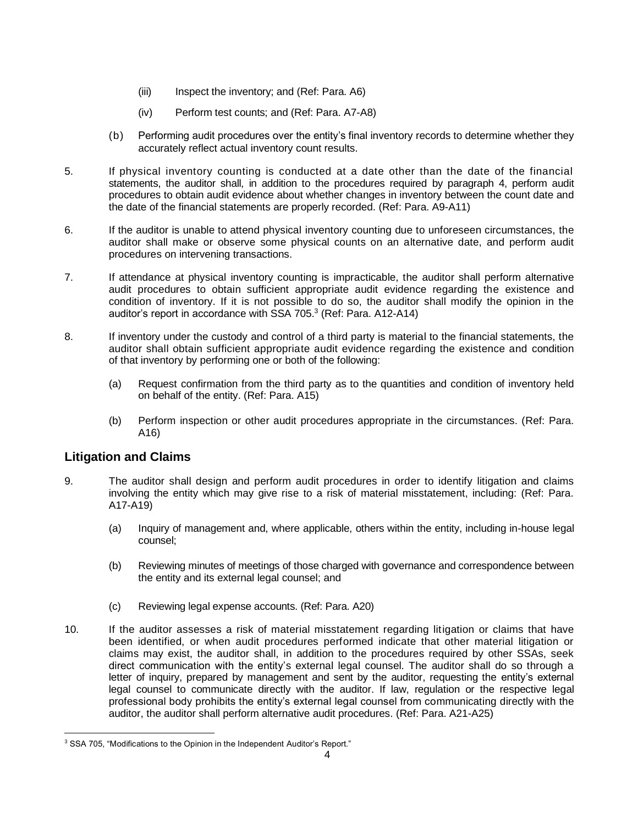- (iii) Inspect the inventory; and (Ref: Para. A6)
- (iv) Perform test counts; and (Ref: Para. A7-A8)
- (b) Performing audit procedures over the entity's final inventory records to determine whether they accurately reflect actual inventory count results.
- 5. If physical inventory counting is conducted at a date other than the date of the financial statements, the auditor shall, in addition to the procedures required by paragraph 4, perform audit procedures to obtain audit evidence about whether changes in inventory between the count date and the date of the financial statements are properly recorded. (Ref: Para. A9-A11)
- 6. If the auditor is unable to attend physical inventory counting due to unforeseen circumstances, the auditor shall make or observe some physical counts on an alternative date, and perform audit procedures on intervening transactions.
- 7. If attendance at physical inventory counting is impracticable, the auditor shall perform alternative audit procedures to obtain sufficient appropriate audit evidence regarding the existence and condition of inventory. If it is not possible to do so, the auditor shall modify the opinion in the auditor's report in accordance with SSA 705.<sup>3</sup> (Ref: Para. A12-A14)
- 8. If inventory under the custody and control of a third party is material to the financial statements, the auditor shall obtain sufficient appropriate audit evidence regarding the existence and condition of that inventory by performing one or both of the following:
	- (a) Request confirmation from the third party as to the quantities and condition of inventory held on behalf of the entity. (Ref: Para. A15)
	- (b) Perform inspection or other audit procedures appropriate in the circumstances. (Ref: Para. A16)

#### **Litigation and Claims**

- 9. The auditor shall design and perform audit procedures in order to identify litigation and claims involving the entity which may give rise to a risk of material misstatement, including: (Ref: Para. A17-A19)
	- (a) Inquiry of management and, where applicable, others within the entity, including in-house legal counsel;
	- (b) Reviewing minutes of meetings of those charged with governance and correspondence between the entity and its external legal counsel; and
	- (c) Reviewing legal expense accounts. (Ref: Para. A20)
- 10. If the auditor assesses a risk of material misstatement regarding litigation or claims that have been identified, or when audit procedures performed indicate that other material litigation or claims may exist, the auditor shall, in addition to the procedures required by other SSAs, seek direct communication with the entity's external legal counsel. The auditor shall do so through a letter of inquiry, prepared by management and sent by the auditor, requesting the entity's external legal counsel to communicate directly with the auditor. If law, regulation or the respective legal professional body prohibits the entity's external legal counsel from communicating directly with the auditor, the auditor shall perform alternative audit procedures. (Ref: Para. A21-A25)

<sup>&</sup>lt;sup>3</sup> SSA 705, "Modifications to the Opinion in the Independent Auditor's Report."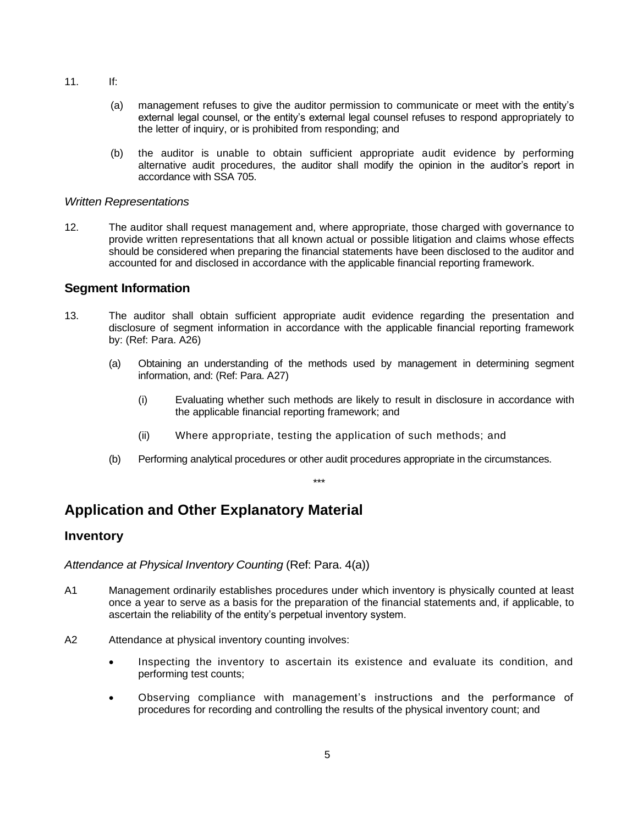- 11. If:
	- (a) management refuses to give the auditor permission to communicate or meet with the entity's external legal counsel, or the entity's external legal counsel refuses to respond appropriately to the letter of inquiry, or is prohibited from responding; and
	- (b) the auditor is unable to obtain sufficient appropriate audit evidence by performing alternative audit procedures, the auditor shall modify the opinion in the auditor's report in accordance with SSA 705.

#### *Written Representations*

12. The auditor shall request management and, where appropriate, those charged with governance to provide written representations that all known actual or possible litigation and claims whose effects should be considered when preparing the financial statements have been disclosed to the auditor and accounted for and disclosed in accordance with the applicable financial reporting framework.

#### **Segment Information**

- 13. The auditor shall obtain sufficient appropriate audit evidence regarding the presentation and disclosure of segment information in accordance with the applicable financial reporting framework by: (Ref: Para. A26)
	- (a) Obtaining an understanding of the methods used by management in determining segment information, and: (Ref: Para. A27)
		- (i) Evaluating whether such methods are likely to result in disclosure in accordance with the applicable financial reporting framework; and
		- (ii) Where appropriate, testing the application of such methods; and
	- (b) Performing analytical procedures or other audit procedures appropriate in the circumstances.

\*\*\*

## **Application and Other Explanatory Material**

#### **Inventory**

#### *Attendance at Physical Inventory Counting* (Ref: Para. 4(a))

- A1 Management ordinarily establishes procedures under which inventory is physically counted at least once a year to serve as a basis for the preparation of the financial statements and, if applicable, to ascertain the reliability of the entity's perpetual inventory system.
- A2 Attendance at physical inventory counting involves:
	- Inspecting the inventory to ascertain its existence and evaluate its condition, and performing test counts;
	- Observing compliance with management's instructions and the performance of procedures for recording and controlling the results of the physical inventory count; and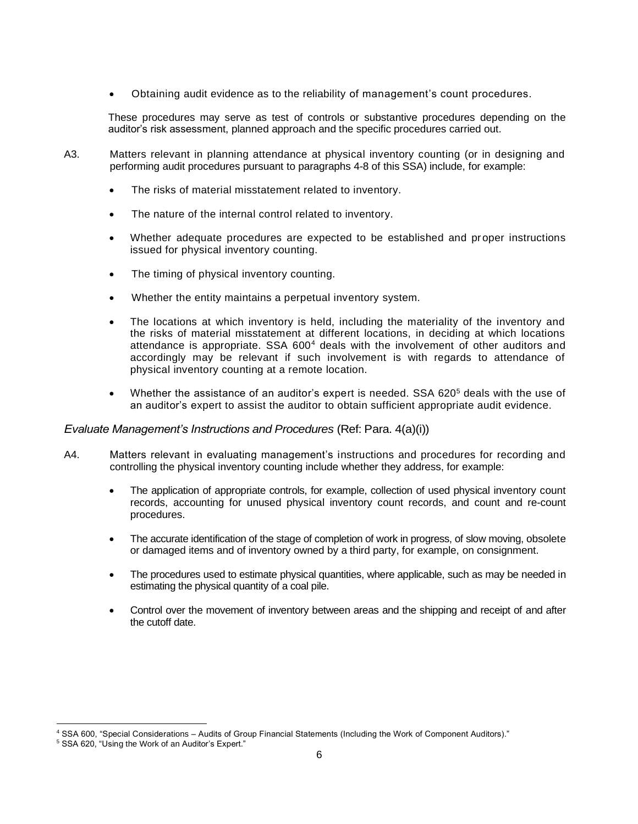• Obtaining audit evidence as to the reliability of management's count procedures.

These procedures may serve as test of controls or substantive procedures depending on the auditor's risk assessment, planned approach and the specific procedures carried out.

- A3. Matters relevant in planning attendance at physical inventory counting (or in designing and performing audit procedures pursuant to paragraphs 4-8 of this SSA) include, for example:
	- The risks of material misstatement related to inventory.
	- The nature of the internal control related to inventory.
	- Whether adequate procedures are expected to be established and proper instructions issued for physical inventory counting.
	- The timing of physical inventory counting.
	- Whether the entity maintains a perpetual inventory system.
	- The locations at which inventory is held, including the materiality of the inventory and the risks of material misstatement at different locations, in deciding at which locations attendance is appropriate. SSA 600<sup>4</sup> deals with the involvement of other auditors and accordingly may be relevant if such involvement is with regards to attendance of physical inventory counting at a remote location.
	- Whether the assistance of an auditor's expert is needed. SSA  $620<sup>5</sup>$  deals with the use of an auditor's expert to assist the auditor to obtain sufficient appropriate audit evidence.

#### *Evaluate Management's Instructions and Procedures* (Ref: Para. 4(a)(i))

- A4. Matters relevant in evaluating management's instructions and procedures for recording and controlling the physical inventory counting include whether they address, for example:
	- The application of appropriate controls, for example, collection of used physical inventory count records, accounting for unused physical inventory count records, and count and re-count procedures.
	- The accurate identification of the stage of completion of work in progress, of slow moving, obsolete or damaged items and of inventory owned by a third party, for example, on consignment.
	- The procedures used to estimate physical quantities, where applicable, such as may be needed in estimating the physical quantity of a coal pile.
	- Control over the movement of inventory between areas and the shipping and receipt of and after the cutoff date.

<sup>4</sup> SSA 600, "Special Considerations – Audits of Group Financial Statements (Including the Work of Component Auditors)."

<sup>5</sup> SSA 620, "Using the Work of an Auditor's Expert."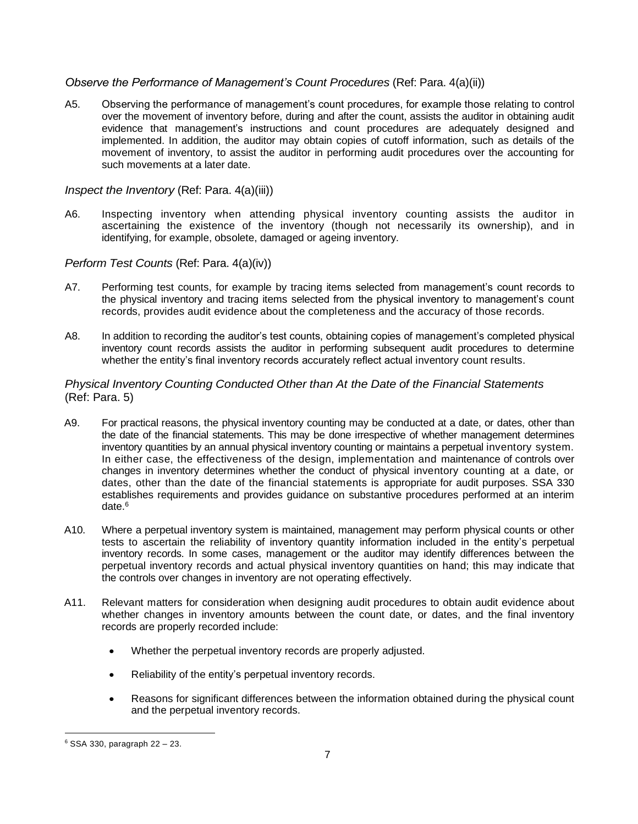#### *Observe the Performance of Management's Count Procedures* (Ref: Para. 4(a)(ii))

A5. Observing the performance of management's count procedures, for example those relating to control over the movement of inventory before, during and after the count, assists the auditor in obtaining audit evidence that management's instructions and count procedures are adequately designed and implemented. In addition, the auditor may obtain copies of cutoff information, such as details of the movement of inventory, to assist the auditor in performing audit procedures over the accounting for such movements at a later date.

#### *Inspect the Inventory* (Ref: Para. 4(a)(iii))

A6. Inspecting inventory when attending physical inventory counting assists the auditor in ascertaining the existence of the inventory (though not necessarily its ownership), and in identifying, for example, obsolete, damaged or ageing inventory.

#### *Perform Test Counts* (Ref: Para. 4(a)(iv))

- A7. Performing test counts, for example by tracing items selected from management's count records to the physical inventory and tracing items selected from the physical inventory to management's count records, provides audit evidence about the completeness and the accuracy of those records.
- A8. In addition to recording the auditor's test counts, obtaining copies of management's completed physical inventory count records assists the auditor in performing subsequent audit procedures to determine whether the entity's final inventory records accurately reflect actual inventory count results.

#### *Physical Inventory Counting Conducted Other than At the Date of the Financial Statements*  (Ref: Para. 5)

- A9. For practical reasons, the physical inventory counting may be conducted at a date, or dates, other than the date of the financial statements. This may be done irrespective of whether management determines inventory quantities by an annual physical inventory counting or maintains a perpetual inventory system. In either case, the effectiveness of the design, implementation and maintenance of controls over changes in inventory determines whether the conduct of physical inventory counting at a date, or dates, other than the date of the financial statements is appropriate for audit purposes. SSA 330 establishes requirements and provides guidance on substantive procedures performed at an interim date.<sup>6</sup>
- A10. Where a perpetual inventory system is maintained, management may perform physical counts or other tests to ascertain the reliability of inventory quantity information included in the entity's perpetual inventory records. In some cases, management or the auditor may identify differences between the perpetual inventory records and actual physical inventory quantities on hand; this may indicate that the controls over changes in inventory are not operating effectively.
- A11. Relevant matters for consideration when designing audit procedures to obtain audit evidence about whether changes in inventory amounts between the count date, or dates, and the final inventory records are properly recorded include:
	- Whether the perpetual inventory records are properly adjusted.
	- Reliability of the entity's perpetual inventory records.
	- Reasons for significant differences between the information obtained during the physical count and the perpetual inventory records.

 $6$  SSA 330, paragraph 22 - 23.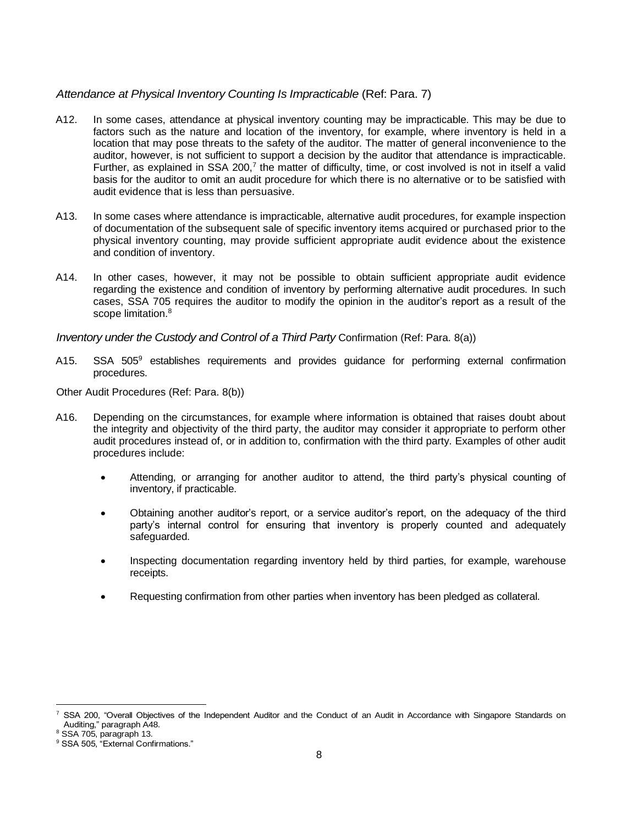#### Attendance at Physical Inventory Counting Is Impracticable (Ref: Para. 7)

- A12. In some cases, attendance at physical inventory counting may be impracticable. This may be due to factors such as the nature and location of the inventory, for example, where inventory is held in a location that may pose threats to the safety of the auditor. The matter of general inconvenience to the auditor, however, is not sufficient to support a decision by the auditor that attendance is impracticable. Further, as explained in SSA 200,<sup>7</sup> the matter of difficulty, time, or cost involved is not in itself a valid basis for the auditor to omit an audit procedure for which there is no alternative or to be satisfied with audit evidence that is less than persuasive.
- A13. In some cases where attendance is impracticable, alternative audit procedures, for example inspection of documentation of the subsequent sale of specific inventory items acquired or purchased prior to the physical inventory counting, may provide sufficient appropriate audit evidence about the existence and condition of inventory.
- A14. In other cases, however, it may not be possible to obtain sufficient appropriate audit evidence regarding the existence and condition of inventory by performing alternative audit procedures. In such cases, SSA 705 requires the auditor to modify the opinion in the auditor's report as a result of the scope limitation.<sup>8</sup>

*Inventory under the Custody and Control of a Third Party* Confirmation (Ref: Para. 8(a))

A15. SSA 505<sup>9</sup> establishes requirements and provides guidance for performing external confirmation procedures.

Other Audit Procedures (Ref: Para. 8(b))

- A16. Depending on the circumstances, for example where information is obtained that raises doubt about the integrity and objectivity of the third party, the auditor may consider it appropriate to perform other audit procedures instead of, or in addition to, confirmation with the third party. Examples of other audit procedures include:
	- Attending, or arranging for another auditor to attend, the third party's physical counting of inventory, if practicable.
	- Obtaining another auditor's report, or a service auditor's report, on the adequacy of the third party's internal control for ensuring that inventory is properly counted and adequately safeguarded.
	- Inspecting documentation regarding inventory held by third parties, for example, warehouse receipts.
	- Requesting confirmation from other parties when inventory has been pledged as collateral.

<sup>8</sup> SSA 705, paragraph 13.

<sup>7</sup> SSA 200, "Overall Objectives of the Independent Auditor and the Conduct of an Audit in Accordance with Singapore Standards on Auditing," paragraph A48.

<sup>&</sup>lt;sup>9</sup> SSA 505, "External Confirmations."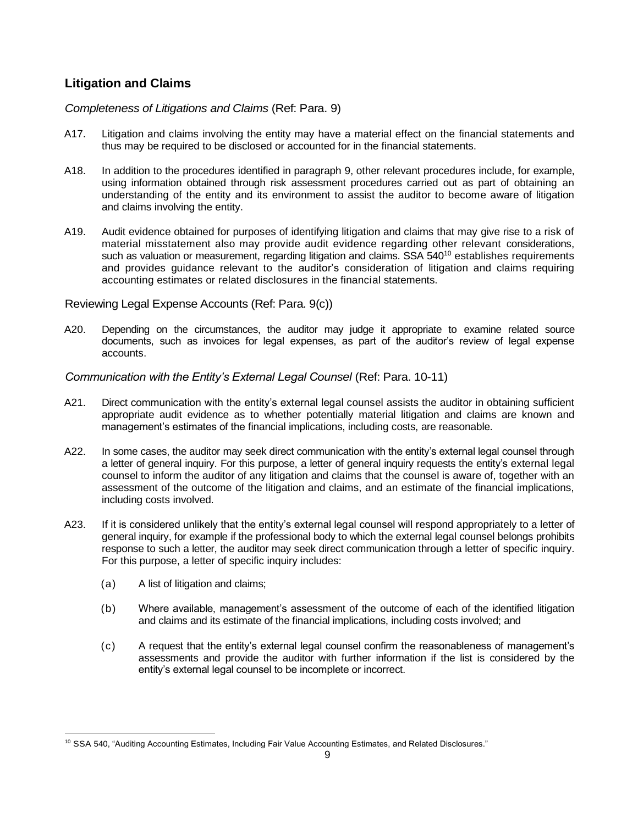#### **Litigation and Claims**

#### *Completeness of Litigations and Claims* (Ref: Para. 9)

- A17. Litigation and claims involving the entity may have a material effect on the financial statements and thus may be required to be disclosed or accounted for in the financial statements.
- A18. In addition to the procedures identified in paragraph 9, other relevant procedures include, for example, using information obtained through risk assessment procedures carried out as part of obtaining an understanding of the entity and its environment to assist the auditor to become aware of litigation and claims involving the entity.
- A19. Audit evidence obtained for purposes of identifying litigation and claims that may give rise to a risk of material misstatement also may provide audit evidence regarding other relevant considerations, such as valuation or measurement, regarding litigation and claims. SSA 540<sup>10</sup> establishes requirements and provides guidance relevant to the auditor's consideration of litigation and claims requiring accounting estimates or related disclosures in the financial statements.

#### Reviewing Legal Expense Accounts (Ref: Para. 9(c))

A20. Depending on the circumstances, the auditor may judge it appropriate to examine related source documents, such as invoices for legal expenses, as part of the auditor's review of legal expense accounts.

#### *Communication with the Entity's External Legal Counsel* (Ref: Para. 10-11)

- A21. Direct communication with the entity's external legal counsel assists the auditor in obtaining sufficient appropriate audit evidence as to whether potentially material litigation and claims are known and management's estimates of the financial implications, including costs, are reasonable.
- A22. In some cases, the auditor may seek direct communication with the entity's external legal counsel through a letter of general inquiry. For this purpose, a letter of general inquiry requests the entity's external legal counsel to inform the auditor of any litigation and claims that the counsel is aware of, together with an assessment of the outcome of the litigation and claims, and an estimate of the financial implications, including costs involved.
- A23. If it is considered unlikely that the entity's external legal counsel will respond appropriately to a letter of general inquiry, for example if the professional body to which the external legal counsel belongs prohibits response to such a letter, the auditor may seek direct communication through a letter of specific inquiry. For this purpose, a letter of specific inquiry includes:
	- (a) A list of litigation and claims;
	- (b) Where available, management's assessment of the outcome of each of the identified litigation and claims and its estimate of the financial implications, including costs involved; and
	- (c) A request that the entity's external legal counsel confirm the reasonableness of management's assessments and provide the auditor with further information if the list is considered by the entity's external legal counsel to be incomplete or incorrect.

<sup>&</sup>lt;sup>10</sup> SSA 540, "Auditing Accounting Estimates, Including Fair Value Accounting Estimates, and Related Disclosures."